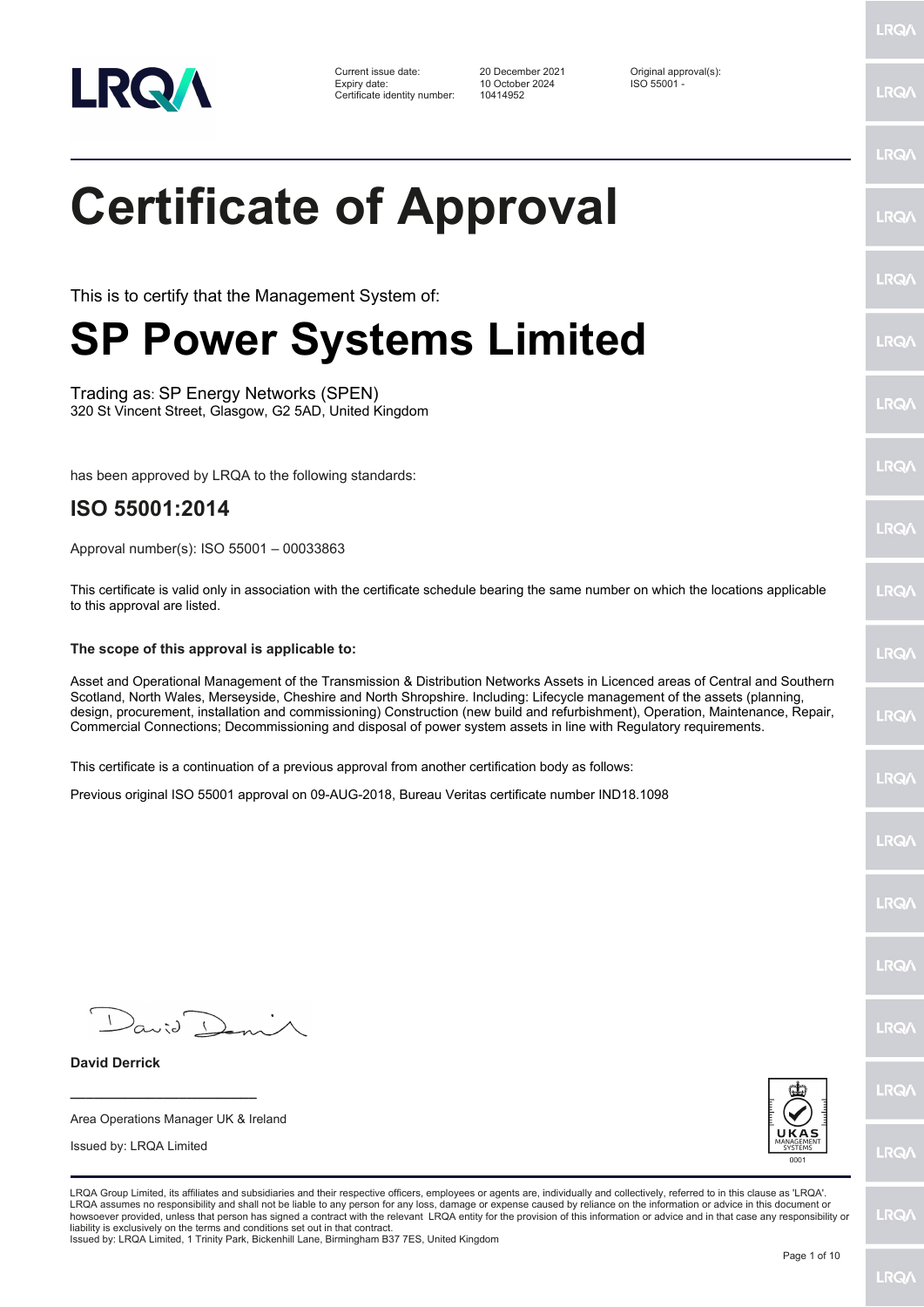

Current issue date: 20 December 2021 Criginal approval(s):<br>
Expiry date: 2024 Criginal approval(s):<br>
Criginal approval of the Criginal approval of the Criginal approval of the Criginal approval of the Criginal approval of Expiry date: 10 October 2024<br>Certificate identity number: 10414952 Certificate identity number:

LRQ/

LRQ/

LRQ/

LRQ/

LRQ/

LRQ/

LRQ/

LRQ/

**LRQA** 

LRQ/

LRQ/

LRQ/

LRQ/

LRQ/

**IRQ** 

**IRQA** 

LRQ/

LRQ/

LRQ/

LRQ/

## **Certificate of Approval**

This is to certify that the Management System of:

## **SP Power Systems Limited**

Trading as: SP Energy Networks (SPEN) 320 St Vincent Street, Glasgow, G2 5AD, United Kingdom

has been approved by LRQA to the following standards:

## **ISO 55001:2014**

Approval number(s): ISO 55001 – 00033863

This certificate is valid only in association with the certificate schedule bearing the same number on which the locations applicable to this approval are listed.

## **The scope of this approval is applicable to:**

Asset and Operational Management of the Transmission & Distribution Networks Assets in Licenced areas of Central and Southern Scotland, North Wales, Merseyside, Cheshire and North Shropshire. Including: Lifecycle management of the assets (planning, design, procurement, installation and commissioning) Construction (new build and refurbishment), Operation, Maintenance, Repair, Commercial Connections; Decommissioning and disposal of power system assets in line with Regulatory requirements.

This certificate is a continuation of a previous approval from another certification body as follows:

Previous original ISO 55001 approval on 09-AUG-2018, Bureau Veritas certificate number IND18.1098

 $D_{\alpha\omega}$ id

**\_\_\_\_\_\_\_\_\_\_\_\_\_\_\_\_\_\_\_\_\_\_\_\_** Area Operations Manager UK & Ireland

Issued by: LRQA Limited

**David Derrick**



LRQA Group Limited, its affiliates and subsidiaries and their respective officers, employees or agents are, individually and collectively, referred to in this clause as 'LRQA'. LRQA assumes no responsibility and shall not be liable to any person for any loss, damage or expense caused by reliance on the information or advice in this document or<br>howsoever provided, unless that person has signed a c liability is exclusively on the terms and conditions set out in that contract.

Issued by: LRQA Limited, 1 Trinity Park, Bickenhill Lane, Birmingham B37 7ES, United Kingdom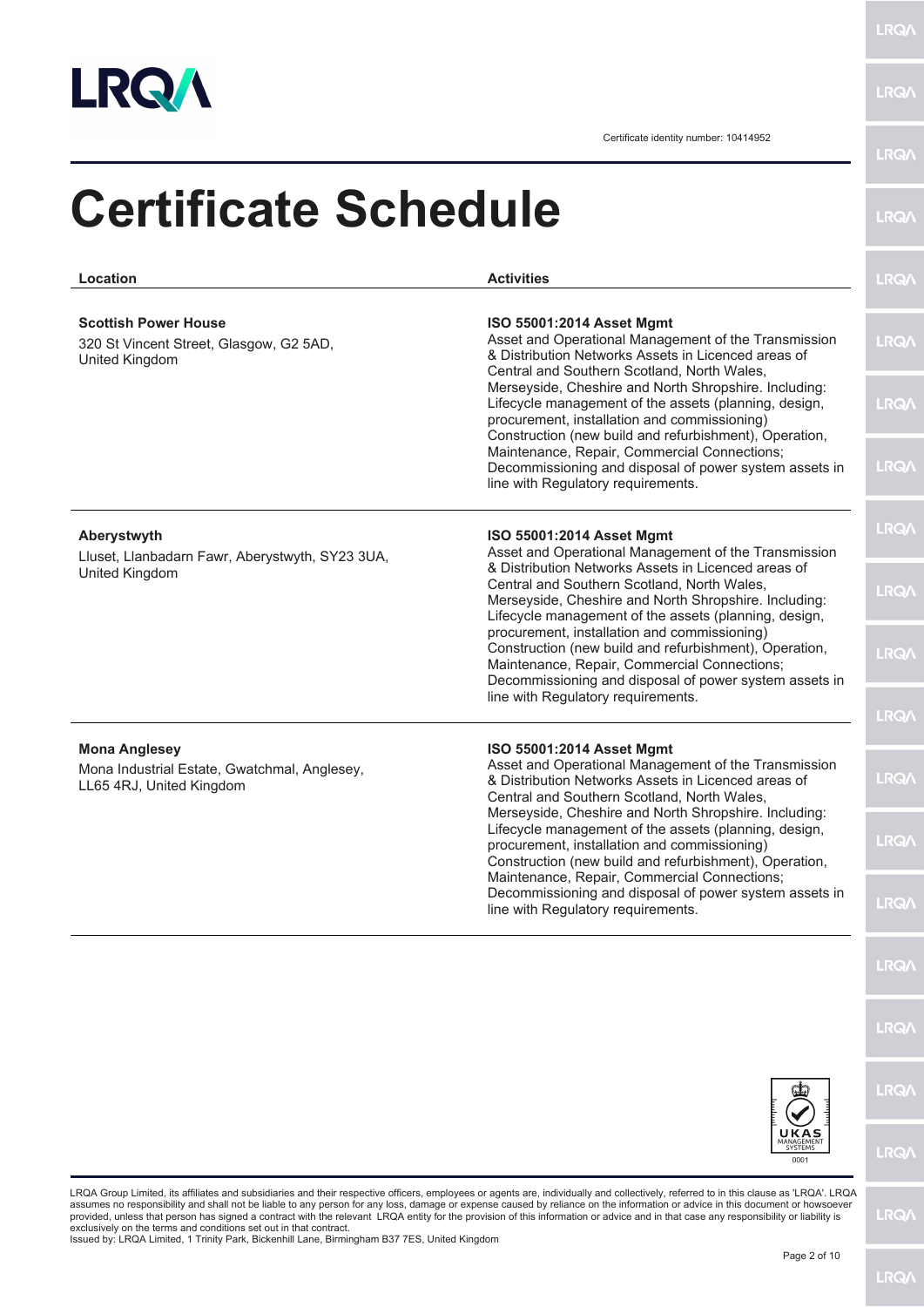

| Location                                                                                         | <b>Activities</b>                                                                                                                                                                                                                                | <b>LRQA</b> |
|--------------------------------------------------------------------------------------------------|--------------------------------------------------------------------------------------------------------------------------------------------------------------------------------------------------------------------------------------------------|-------------|
| <b>Scottish Power House</b><br>320 St Vincent Street, Glasgow, G2 5AD,<br>United Kingdom         | ISO 55001:2014 Asset Mgmt<br>Asset and Operational Management of the Transmission<br>& Distribution Networks Assets in Licenced areas of<br>Central and Southern Scotland, North Wales,                                                          | <b>LRQA</b> |
|                                                                                                  | Merseyside, Cheshire and North Shropshire. Including:<br>Lifecycle management of the assets (planning, design,<br>procurement, installation and commissioning)<br>Construction (new build and refurbishment), Operation,                         | <b>LRQA</b> |
|                                                                                                  | Maintenance, Repair, Commercial Connections;<br>Decommissioning and disposal of power system assets in<br>line with Regulatory requirements.                                                                                                     | <b>LRQA</b> |
| Aberystwyth<br>Lluset, Llanbadarn Fawr, Aberystwyth, SY23 3UA,<br>United Kingdom                 | ISO 55001:2014 Asset Mgmt<br>Asset and Operational Management of the Transmission<br>& Distribution Networks Assets in Licenced areas of                                                                                                         | <b>LRQA</b> |
|                                                                                                  | Central and Southern Scotland, North Wales,<br>Merseyside, Cheshire and North Shropshire. Including:<br>Lifecycle management of the assets (planning, design,<br>procurement, installation and commissioning)                                    | <b>LRQA</b> |
|                                                                                                  | Construction (new build and refurbishment), Operation,<br>Maintenance, Repair, Commercial Connections;<br>Decommissioning and disposal of power system assets in<br>line with Regulatory requirements.                                           | <b>LRQA</b> |
|                                                                                                  |                                                                                                                                                                                                                                                  | <b>LRQA</b> |
| <b>Mona Anglesey</b><br>Mona Industrial Estate, Gwatchmal, Anglesey,<br>LL65 4RJ, United Kingdom | ISO 55001:2014 Asset Mgmt<br>Asset and Operational Management of the Transmission<br>& Distribution Networks Assets in Licenced areas of<br>Central and Southern Scotland, North Wales,<br>Merseyside, Cheshire and North Shropshire. Including: | <b>LRQA</b> |
|                                                                                                  | Lifecycle management of the assets (planning, design,<br>procurement, installation and commissioning)<br>Construction (new build and refurbishment), Operation,<br>Maintenance, Repair, Commercial Connections;                                  | <b>LRQA</b> |
|                                                                                                  | Decommissioning and disposal of power system assets in<br>line with Regulatory requirements.                                                                                                                                                     | <b>LRQA</b> |
|                                                                                                  |                                                                                                                                                                                                                                                  | <b>LRQA</b> |
|                                                                                                  |                                                                                                                                                                                                                                                  | <b>LRQA</b> |
|                                                                                                  |                                                                                                                                                                                                                                                  | <b>LRQ/</b> |
|                                                                                                  | <b>SYSTEMS</b><br>0001                                                                                                                                                                                                                           | <b>LRQA</b> |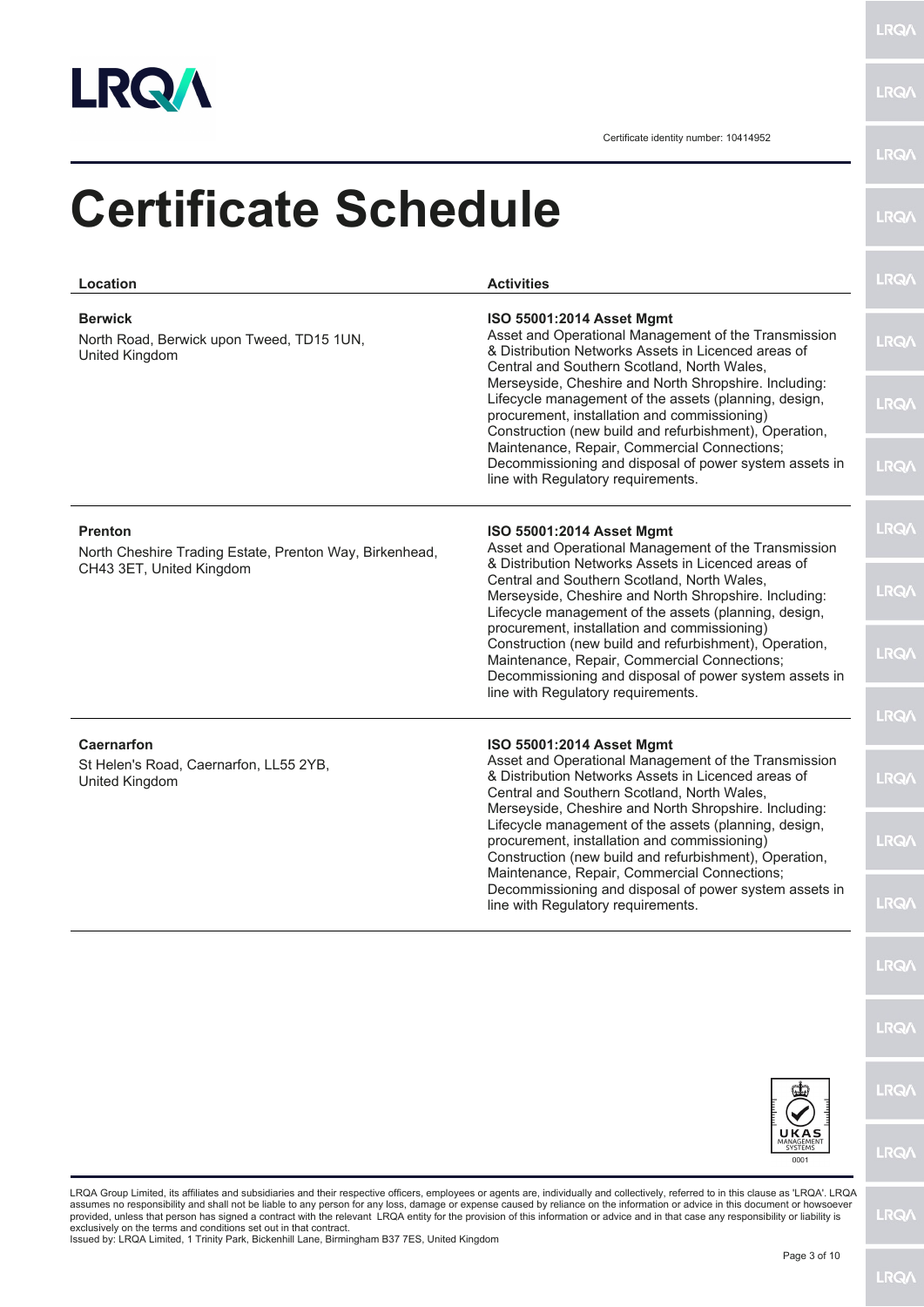

**LRQA** 

| Location                                                                                              | <b>Activities</b>                                                                                                                                                                                                                                | <b>LRQA</b> |
|-------------------------------------------------------------------------------------------------------|--------------------------------------------------------------------------------------------------------------------------------------------------------------------------------------------------------------------------------------------------|-------------|
| <b>Berwick</b><br>North Road, Berwick upon Tweed, TD15 1UN,<br>United Kingdom                         | ISO 55001:2014 Asset Mgmt<br>Asset and Operational Management of the Transmission<br>& Distribution Networks Assets in Licenced areas of<br>Central and Southern Scotland, North Wales,                                                          | <b>LRQA</b> |
|                                                                                                       | Merseyside, Cheshire and North Shropshire. Including:<br>Lifecycle management of the assets (planning, design,<br>procurement, installation and commissioning)<br>Construction (new build and refurbishment), Operation,                         | <b>LRQA</b> |
|                                                                                                       | Maintenance, Repair, Commercial Connections;<br>Decommissioning and disposal of power system assets in<br>line with Regulatory requirements.                                                                                                     | <b>LRQA</b> |
| <b>Prenton</b><br>North Cheshire Trading Estate, Prenton Way, Birkenhead,<br>CH43 3ET, United Kingdom | ISO 55001:2014 Asset Mgmt<br>Asset and Operational Management of the Transmission<br>& Distribution Networks Assets in Licenced areas of                                                                                                         | <b>LRQA</b> |
|                                                                                                       | Central and Southern Scotland, North Wales,<br>Merseyside, Cheshire and North Shropshire. Including:<br>Lifecycle management of the assets (planning, design,<br>procurement, installation and commissioning)                                    | <b>LRQA</b> |
|                                                                                                       | Construction (new build and refurbishment), Operation,<br>Maintenance, Repair, Commercial Connections;<br>Decommissioning and disposal of power system assets in<br>line with Regulatory requirements.                                           | <b>LRQA</b> |
|                                                                                                       |                                                                                                                                                                                                                                                  | <b>LRQA</b> |
| <b>Caernarfon</b><br>St Helen's Road, Caernarfon, LL55 2YB,<br>United Kingdom                         | ISO 55001:2014 Asset Mgmt<br>Asset and Operational Management of the Transmission<br>& Distribution Networks Assets in Licenced areas of<br>Central and Southern Scotland, North Wales,<br>Merseyside, Cheshire and North Shropshire. Including: | <b>LRQA</b> |
|                                                                                                       | Lifecycle management of the assets (planning, design,<br>procurement, installation and commissioning)<br>Construction (new build and refurbishment), Operation,<br>Maintenance, Repair, Commercial Connections;                                  | <b>LRQA</b> |
|                                                                                                       | Decommissioning and disposal of power system assets in<br>line with Regulatory requirements.                                                                                                                                                     | <b>LRQ/</b> |
|                                                                                                       |                                                                                                                                                                                                                                                  | <b>LRQ/</b> |
|                                                                                                       |                                                                                                                                                                                                                                                  | <b>LRQ/</b> |
|                                                                                                       |                                                                                                                                                                                                                                                  | <b>LRQ/</b> |
|                                                                                                       | UKAS<br>SYSTEMS<br>0001                                                                                                                                                                                                                          | <b>LRQ/</b> |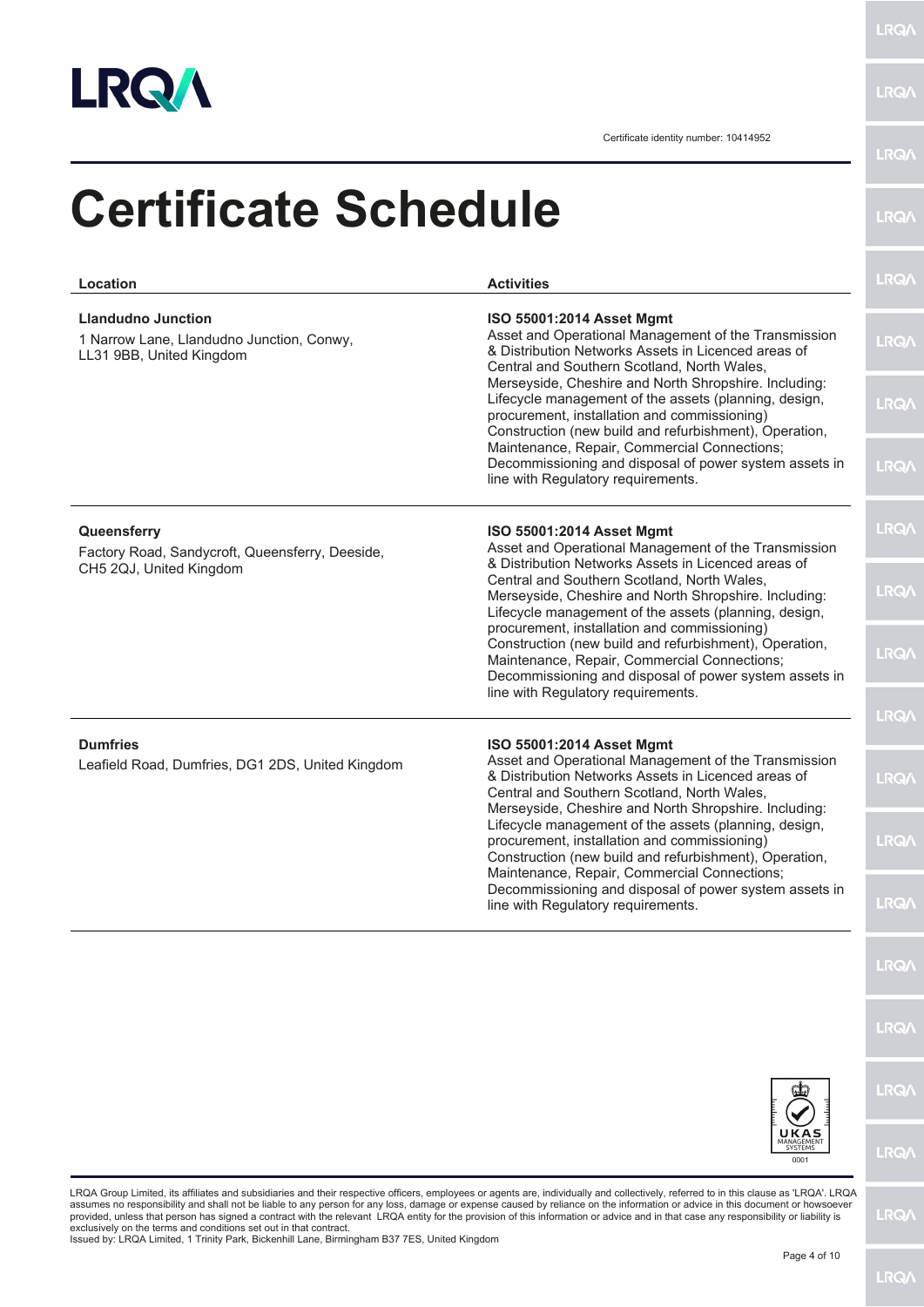

**LRQA** 

Certificate identity number: 10414952

| Location                                                                                           | <b>Activities</b>                                                                                                                                                                                                                                      | <b>LRQA</b>  |
|----------------------------------------------------------------------------------------------------|--------------------------------------------------------------------------------------------------------------------------------------------------------------------------------------------------------------------------------------------------------|--------------|
| <b>Llandudno Junction</b><br>1 Narrow Lane, Llandudno Junction, Conwy,<br>LL31 9BB, United Kingdom | ISO 55001:2014 Asset Mgmt<br>Asset and Operational Management of the Transmission<br>& Distribution Networks Assets in Licenced areas of<br>Central and Southern Scotland, North Wales,                                                                | <b>LRQA</b>  |
|                                                                                                    | Merseyside, Cheshire and North Shropshire. Including:<br>Lifecycle management of the assets (planning, design,<br>procurement, installation and commissioning)<br>Construction (new build and refurbishment), Operation,                               | <b>LRQ/</b>  |
|                                                                                                    | Maintenance, Repair, Commercial Connections;<br>Decommissioning and disposal of power system assets in<br>line with Regulatory requirements.                                                                                                           | <b>LRQA</b>  |
| Queensferry<br>Factory Road, Sandycroft, Queensferry, Deeside,<br>CH5 2QJ, United Kingdom          | ISO 55001:2014 Asset Mgmt<br>Asset and Operational Management of the Transmission<br>& Distribution Networks Assets in Licenced areas of                                                                                                               | <b>LRQ/</b>  |
|                                                                                                    | Central and Southern Scotland, North Wales,<br>Merseyside, Cheshire and North Shropshire. Including:<br>Lifecycle management of the assets (planning, design,                                                                                          | <b>LRQA</b>  |
|                                                                                                    | procurement, installation and commissioning)<br>Construction (new build and refurbishment), Operation,<br>Maintenance, Repair, Commercial Connections;<br>Decommissioning and disposal of power system assets in<br>line with Regulatory requirements. | <b>LRQA</b>  |
|                                                                                                    |                                                                                                                                                                                                                                                        | <b>LRQ/\</b> |
| <b>Dumfries</b><br>Leafield Road, Dumfries, DG1 2DS, United Kingdom                                | ISO 55001:2014 Asset Mgmt<br>Asset and Operational Management of the Transmission<br>& Distribution Networks Assets in Licenced areas of<br>Central and Southern Scotland, North Wales,<br>Merseyside, Cheshire and North Shropshire. Including:       | <b>LRQ/</b>  |
|                                                                                                    | Lifecycle management of the assets (planning, design,<br>procurement, installation and commissioning)<br>Construction (new build and refurbishment), Operation,<br>Maintenance, Repair, Commercial Connections;                                        | <b>LRQ/</b>  |
|                                                                                                    | Decommissioning and disposal of power system assets in<br>line with Regulatory requirements.                                                                                                                                                           | <b>LRQA</b>  |
|                                                                                                    |                                                                                                                                                                                                                                                        | <b>LRQA</b>  |
|                                                                                                    |                                                                                                                                                                                                                                                        | <b>LRQ/</b>  |
|                                                                                                    |                                                                                                                                                                                                                                                        | <b>LRQ/</b>  |
|                                                                                                    | <b>KAS</b><br>SYSTEMS<br>0001                                                                                                                                                                                                                          | <b>LRQ/</b>  |

assumes no responsibility and shall not be liable to any person for any loss, damage or expense caused by reliance on the information or advice in this document or howsoever<br>provided, unless that person has signed a contra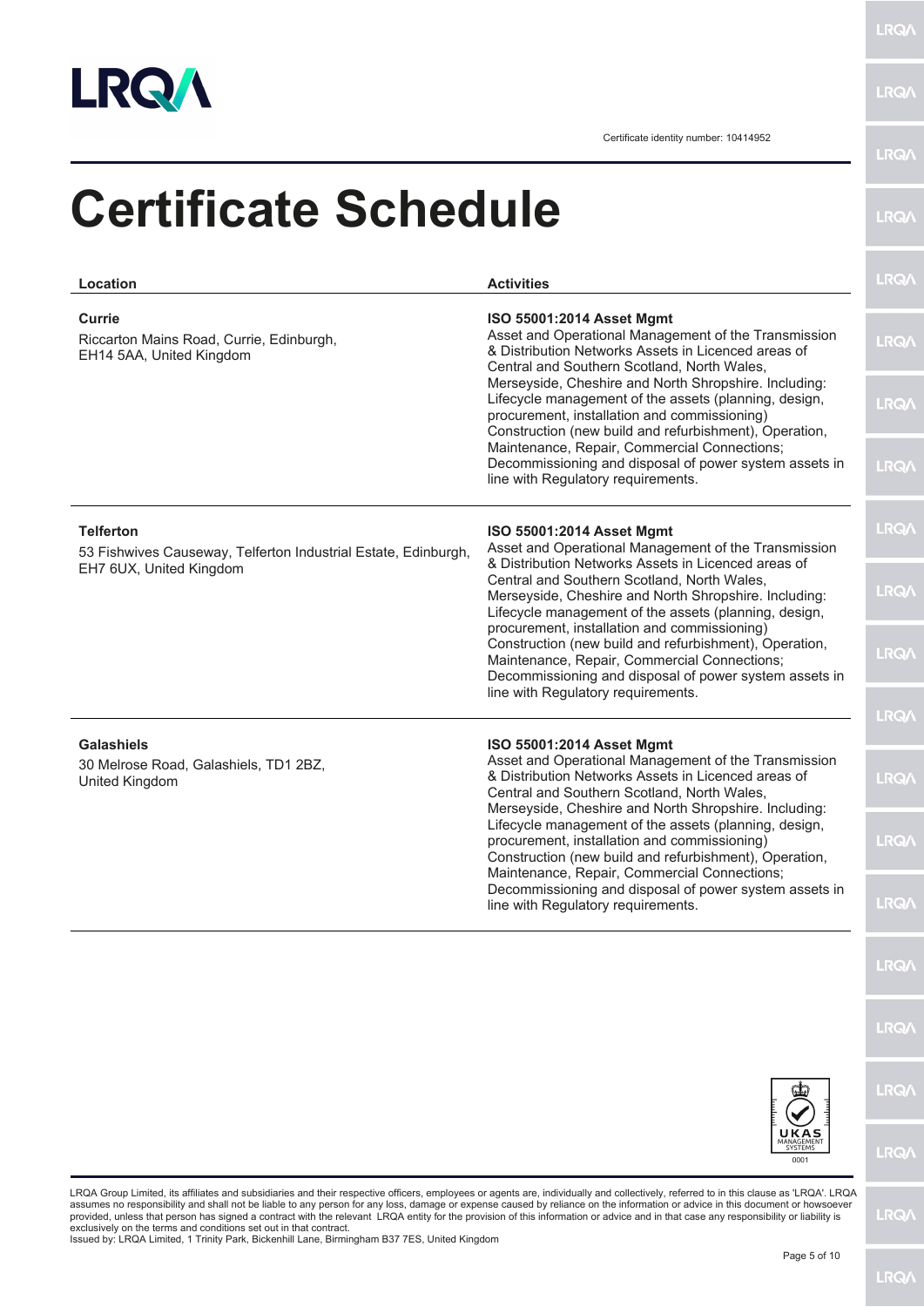

LRQ/\

LRQ/\

| Location                                                                                                      | <b>Activities</b>                                                                                                                                                                                                                                                                                                                                                        | <b>LRQA</b>  |
|---------------------------------------------------------------------------------------------------------------|--------------------------------------------------------------------------------------------------------------------------------------------------------------------------------------------------------------------------------------------------------------------------------------------------------------------------------------------------------------------------|--------------|
| Currie<br>Riccarton Mains Road, Currie, Edinburgh,<br>EH14 5AA, United Kingdom                                | ISO 55001:2014 Asset Mgmt<br>Asset and Operational Management of the Transmission<br>& Distribution Networks Assets in Licenced areas of<br>Central and Southern Scotland, North Wales,                                                                                                                                                                                  | <b>LRQA</b>  |
|                                                                                                               | Merseyside, Cheshire and North Shropshire. Including:<br>Lifecycle management of the assets (planning, design,<br>procurement, installation and commissioning)<br>Construction (new build and refurbishment), Operation,<br>Maintenance, Repair, Commercial Connections;<br>Decommissioning and disposal of power system assets in<br>line with Regulatory requirements. | <b>LRQA</b>  |
|                                                                                                               |                                                                                                                                                                                                                                                                                                                                                                          | <b>LRQA</b>  |
| <b>Telferton</b><br>53 Fishwives Causeway, Telferton Industrial Estate, Edinburgh,<br>EH7 6UX, United Kingdom | ISO 55001:2014 Asset Mgmt<br>Asset and Operational Management of the Transmission<br>& Distribution Networks Assets in Licenced areas of                                                                                                                                                                                                                                 | <b>LRQA</b>  |
|                                                                                                               | Central and Southern Scotland, North Wales,<br>Merseyside, Cheshire and North Shropshire. Including:<br>Lifecycle management of the assets (planning, design,<br>procurement, installation and commissioning)                                                                                                                                                            | <b>LRQA</b>  |
|                                                                                                               | Construction (new build and refurbishment), Operation,<br>Maintenance, Repair, Commercial Connections;<br>Decommissioning and disposal of power system assets in<br>line with Regulatory requirements.                                                                                                                                                                   | <b>LRQA</b>  |
|                                                                                                               |                                                                                                                                                                                                                                                                                                                                                                          | <b>LRQA</b>  |
| <b>Galashiels</b><br>30 Melrose Road, Galashiels, TD1 2BZ,<br>United Kingdom                                  | ISO 55001:2014 Asset Mgmt<br>Asset and Operational Management of the Transmission<br>& Distribution Networks Assets in Licenced areas of<br>Central and Southern Scotland, North Wales,<br>Merseyside, Cheshire and North Shropshire. Including:                                                                                                                         | <b>LRQA</b>  |
|                                                                                                               | Lifecycle management of the assets (planning, design,<br>procurement, installation and commissioning)<br>Construction (new build and refurbishment), Operation,<br>Maintenance, Repair, Commercial Connections;                                                                                                                                                          | <b>LRQA</b>  |
|                                                                                                               | Decommissioning and disposal of power system assets in<br>line with Regulatory requirements.                                                                                                                                                                                                                                                                             | <b>LRQA</b>  |
|                                                                                                               |                                                                                                                                                                                                                                                                                                                                                                          | <b>LRQA</b>  |
|                                                                                                               |                                                                                                                                                                                                                                                                                                                                                                          | <b>LRQA</b>  |
|                                                                                                               |                                                                                                                                                                                                                                                                                                                                                                          | <b>LRQA</b>  |
|                                                                                                               | UKAS<br>MANAGEMENT<br>SYSTEMS<br>0001                                                                                                                                                                                                                                                                                                                                    | <b>LRQ/\</b> |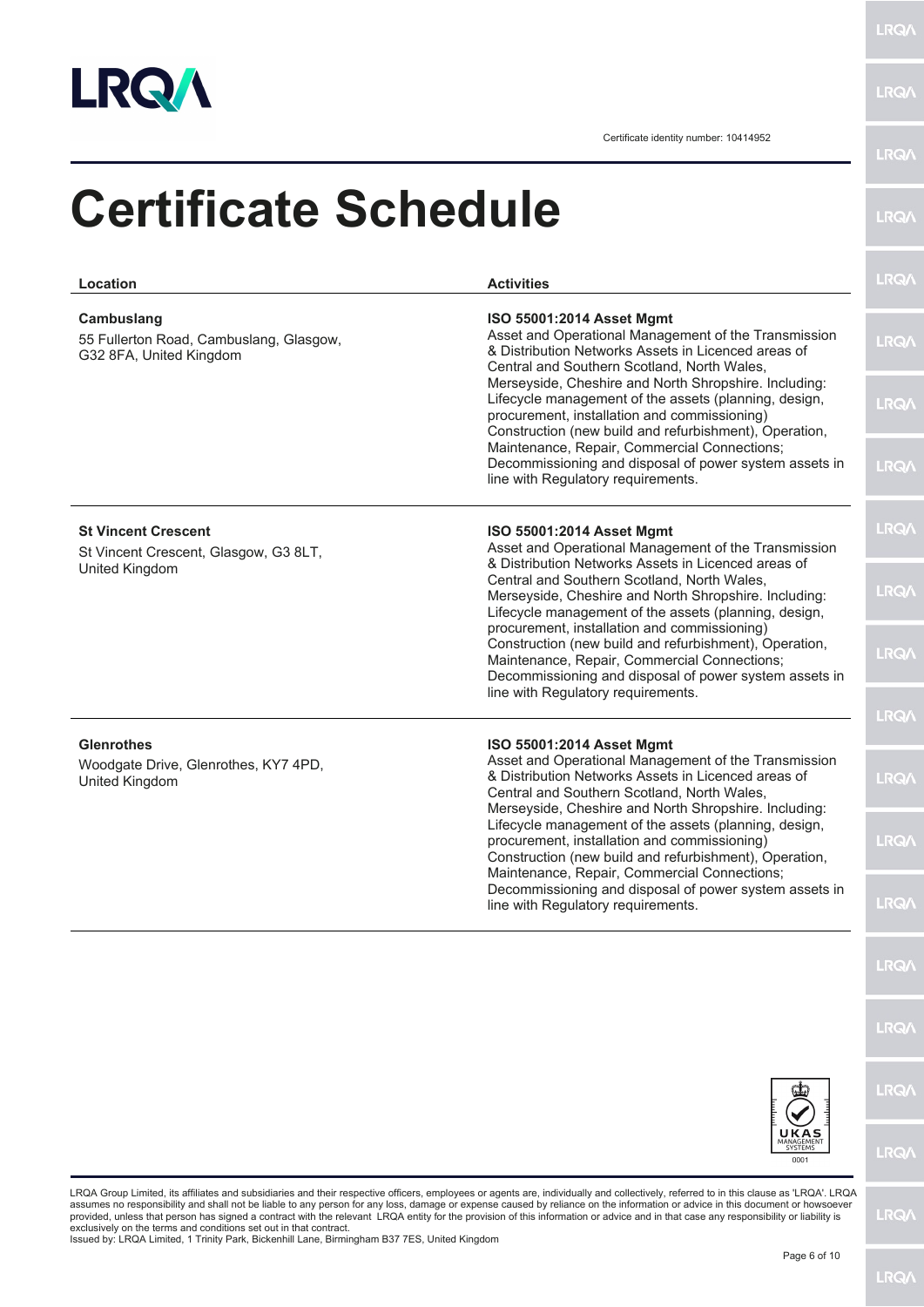

**LRQA** 

Certificate identity number: 10414952

| Location                                                                              | <b>Activities</b>                                                                                                                                                                                                                                      | <b>LRQ/</b>  |
|---------------------------------------------------------------------------------------|--------------------------------------------------------------------------------------------------------------------------------------------------------------------------------------------------------------------------------------------------------|--------------|
| Cambuslang<br>55 Fullerton Road, Cambuslang, Glasgow,<br>G32 8FA, United Kingdom      | ISO 55001:2014 Asset Mgmt<br>Asset and Operational Management of the Transmission<br>& Distribution Networks Assets in Licenced areas of<br>Central and Southern Scotland, North Wales,                                                                | <b>LRQ/</b>  |
|                                                                                       | Merseyside, Cheshire and North Shropshire. Including:<br>Lifecycle management of the assets (planning, design,<br>procurement, installation and commissioning)<br>Construction (new build and refurbishment), Operation,                               | <b>LRQA</b>  |
|                                                                                       | Maintenance, Repair, Commercial Connections;<br>Decommissioning and disposal of power system assets in<br>line with Regulatory requirements.                                                                                                           | <b>LRQ/</b>  |
| <b>St Vincent Crescent</b><br>St Vincent Crescent, Glasgow, G3 8LT,<br>United Kingdom | ISO 55001:2014 Asset Mgmt<br>Asset and Operational Management of the Transmission<br>& Distribution Networks Assets in Licenced areas of                                                                                                               | <b>LRQ/</b>  |
|                                                                                       | Central and Southern Scotland, North Wales,<br>Merseyside, Cheshire and North Shropshire. Including:<br>Lifecycle management of the assets (planning, design,                                                                                          | <b>LRQA</b>  |
|                                                                                       | procurement, installation and commissioning)<br>Construction (new build and refurbishment), Operation,<br>Maintenance, Repair, Commercial Connections;<br>Decommissioning and disposal of power system assets in<br>line with Regulatory requirements. | <b>LRQ/</b>  |
|                                                                                       |                                                                                                                                                                                                                                                        | <b>LRQ/</b>  |
| <b>Glenrothes</b><br>Woodgate Drive, Glenrothes, KY7 4PD,<br>United Kingdom           | ISO 55001:2014 Asset Mgmt<br>Asset and Operational Management of the Transmission<br>& Distribution Networks Assets in Licenced areas of<br>Central and Southern Scotland, North Wales,<br>Merseyside, Cheshire and North Shropshire. Including:       | <b>LRQ/\</b> |
|                                                                                       | Lifecycle management of the assets (planning, design,<br>procurement, installation and commissioning)<br>Construction (new build and refurbishment), Operation,<br>Maintenance, Repair, Commercial Connections;                                        | <b>LRQ/</b>  |
|                                                                                       | Decommissioning and disposal of power system assets in<br>line with Regulatory requirements.                                                                                                                                                           | <b>LRQ/</b>  |
|                                                                                       |                                                                                                                                                                                                                                                        | <b>LRQ/</b>  |
|                                                                                       |                                                                                                                                                                                                                                                        | <b>LRQA</b>  |
|                                                                                       |                                                                                                                                                                                                                                                        | <b>LRQ/</b>  |
|                                                                                       | <b>UKAS</b><br>MANAGEMEN <sup>-</sup><br><b>SYSTEMS</b><br>0001                                                                                                                                                                                        | <b>LRQ/</b>  |

exclusively on the terms and conditions set out in that contract. Issued by: LRQA Limited, 1 Trinity Park, Bickenhill Lane, Birmingham B37 7ES, United Kingdom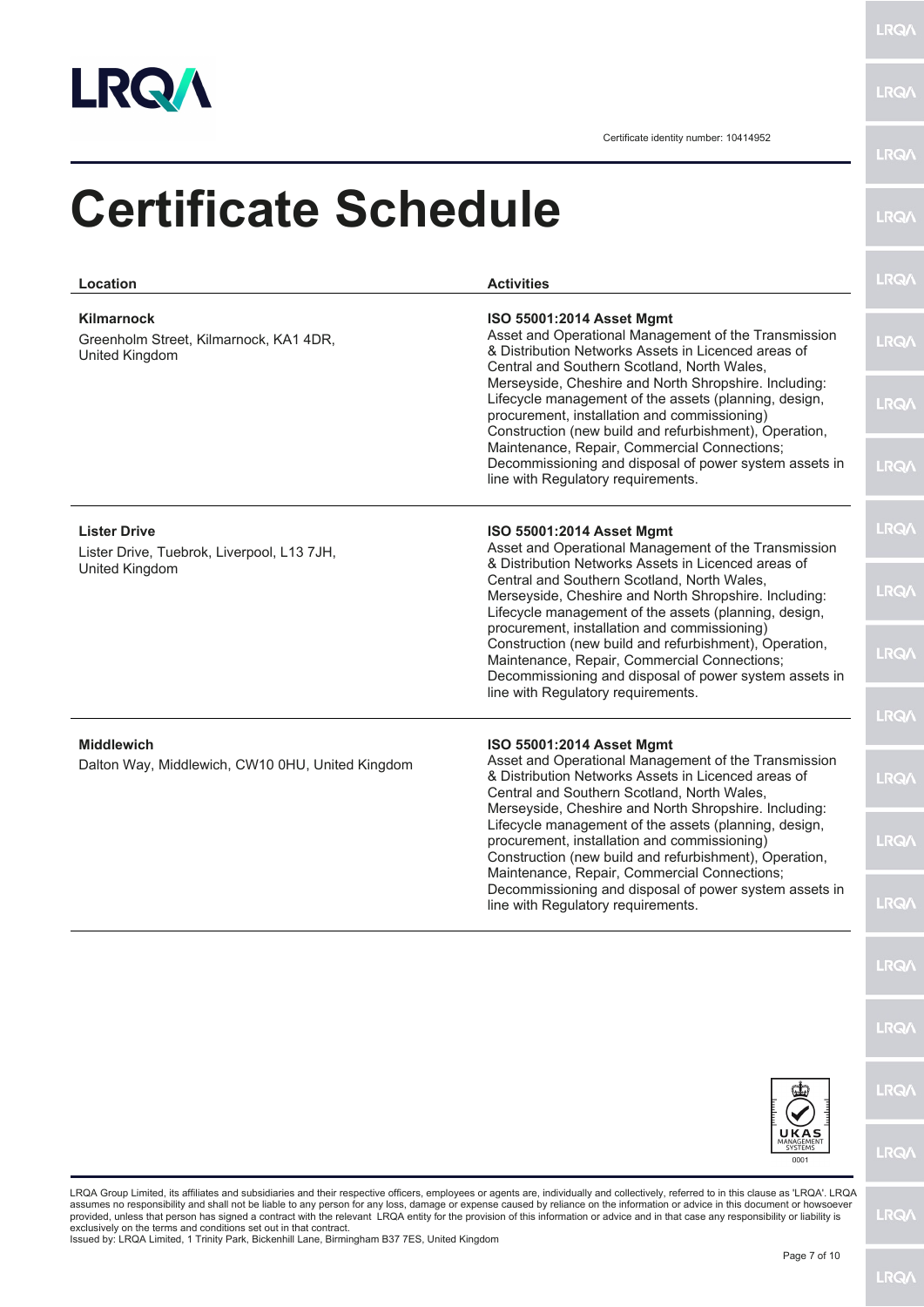

**LRQA** 

Certificate identity number: 10414952

|                                                                                                                                                                                                                          | <b>LRQA</b>                                                                                                                                                                                                                                                                                           |
|--------------------------------------------------------------------------------------------------------------------------------------------------------------------------------------------------------------------------|-------------------------------------------------------------------------------------------------------------------------------------------------------------------------------------------------------------------------------------------------------------------------------------------------------|
| <b>Activities</b>                                                                                                                                                                                                        | <b>LRQ/</b>                                                                                                                                                                                                                                                                                           |
| ISO 55001:2014 Asset Mgmt<br>Asset and Operational Management of the Transmission<br>& Distribution Networks Assets in Licenced areas of<br>Central and Southern Scotland, North Wales,                                  | <b>LRQA</b>                                                                                                                                                                                                                                                                                           |
| Merseyside, Cheshire and North Shropshire. Including:<br>Lifecycle management of the assets (planning, design,<br>procurement, installation and commissioning)<br>Construction (new build and refurbishment), Operation, | <b>LRQA</b>                                                                                                                                                                                                                                                                                           |
| Decommissioning and disposal of power system assets in<br>line with Regulatory requirements.                                                                                                                             | <b>LRQA</b>                                                                                                                                                                                                                                                                                           |
| ISO 55001:2014 Asset Mgmt<br>Asset and Operational Management of the Transmission                                                                                                                                        | <b>LRQ/\</b>                                                                                                                                                                                                                                                                                          |
| Central and Southern Scotland, North Wales,<br>Merseyside, Cheshire and North Shropshire. Including:<br>Lifecycle management of the assets (planning, design,                                                            | <b>LRQA</b>                                                                                                                                                                                                                                                                                           |
| Construction (new build and refurbishment), Operation,<br>Maintenance, Repair, Commercial Connections;<br>Decommissioning and disposal of power system assets in                                                         | <b>LRQA</b>                                                                                                                                                                                                                                                                                           |
|                                                                                                                                                                                                                          | <b>LRQA</b>                                                                                                                                                                                                                                                                                           |
| Asset and Operational Management of the Transmission<br>& Distribution Networks Assets in Licenced areas of<br>Central and Southern Scotland, North Wales,<br>Merseyside, Cheshire and North Shropshire. Including:      | <b>LRQ/</b>                                                                                                                                                                                                                                                                                           |
| Lifecycle management of the assets (planning, design,<br>procurement, installation and commissioning)<br>Construction (new build and refurbishment), Operation,                                                          | <b>LRQ/</b>                                                                                                                                                                                                                                                                                           |
| Decommissioning and disposal of power system assets in<br>line with Regulatory requirements.                                                                                                                             | <b>LRQ/</b>                                                                                                                                                                                                                                                                                           |
|                                                                                                                                                                                                                          | <b>LRQ/</b>                                                                                                                                                                                                                                                                                           |
|                                                                                                                                                                                                                          | <b>LRQA</b>                                                                                                                                                                                                                                                                                           |
|                                                                                                                                                                                                                          | <b>LRQ/</b>                                                                                                                                                                                                                                                                                           |
| UKAS<br><b>SYSTEMS</b><br>0001                                                                                                                                                                                           | <b>LRQ/</b>                                                                                                                                                                                                                                                                                           |
|                                                                                                                                                                                                                          | <b>Certificate Schedule</b><br>Maintenance, Repair, Commercial Connections;<br>& Distribution Networks Assets in Licenced areas of<br>procurement, installation and commissioning)<br>line with Regulatory requirements.<br>ISO 55001:2014 Asset Mgmt<br>Maintenance, Repair, Commercial Connections; |

LRQA Group Limited, its affiliates and subsidiaries and their respective officers, employees or agents are, individually and collectively, referred to in this clause as 'LRQA'. LRQA<br>provided, unless that person has signed

**LRQA**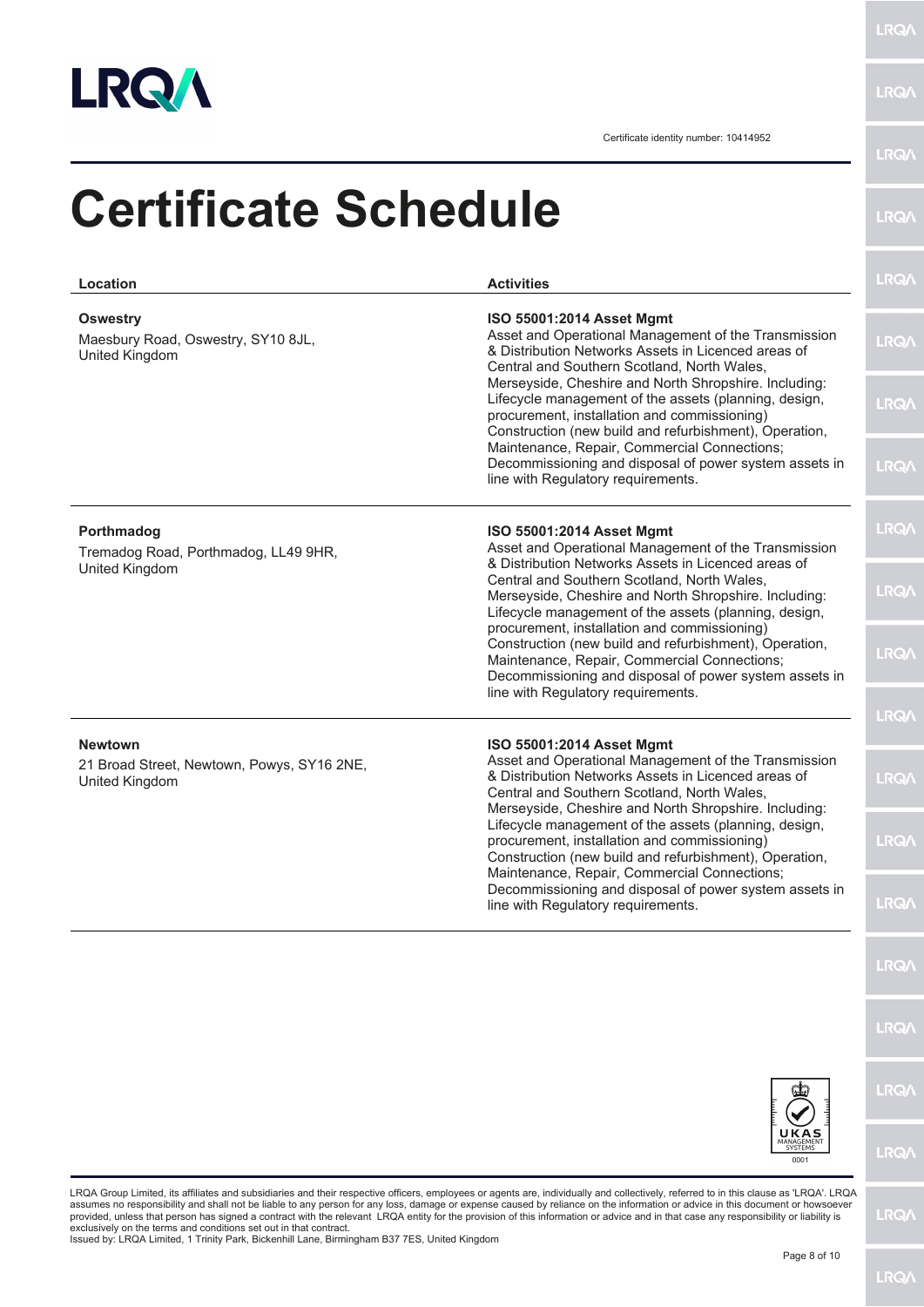

**LRQA** 

Certificate identity number: 10414952

| <b>Certificate Schedule</b>                                                    |                                                                                                                                                                                                                                                  | <b>LRQA</b>  |
|--------------------------------------------------------------------------------|--------------------------------------------------------------------------------------------------------------------------------------------------------------------------------------------------------------------------------------------------|--------------|
| Location                                                                       | <b>Activities</b>                                                                                                                                                                                                                                | <b>LRQA</b>  |
| <b>Oswestry</b><br>Maesbury Road, Oswestry, SY10 8JL,<br><b>United Kingdom</b> | ISO 55001:2014 Asset Mgmt<br>Asset and Operational Management of the Transmission<br>& Distribution Networks Assets in Licenced areas of<br>Central and Southern Scotland, North Wales,                                                          | <b>LRQA</b>  |
|                                                                                | Merseyside, Cheshire and North Shropshire. Including:<br>Lifecycle management of the assets (planning, design,<br>procurement, installation and commissioning)<br>Construction (new build and refurbishment), Operation,                         | <b>LRQA</b>  |
|                                                                                | Maintenance, Repair, Commercial Connections;<br>Decommissioning and disposal of power system assets in<br>line with Regulatory requirements.                                                                                                     | <b>LRQA</b>  |
| Porthmadog<br>Tremadog Road, Porthmadog, LL49 9HR,                             | ISO 55001:2014 Asset Mgmt<br>Asset and Operational Management of the Transmission                                                                                                                                                                | <b>LRQA</b>  |
| United Kingdom                                                                 | & Distribution Networks Assets in Licenced areas of<br>Central and Southern Scotland, North Wales,<br>Merseyside, Cheshire and North Shropshire. Including:<br>Lifecycle management of the assets (planning, design,                             | <b>LRQA</b>  |
|                                                                                | procurement, installation and commissioning)<br>Construction (new build and refurbishment), Operation,<br>Maintenance, Repair, Commercial Connections;<br>Decommissioning and disposal of power system assets in                                 | <b>LRQA</b>  |
|                                                                                | line with Regulatory requirements.                                                                                                                                                                                                               | <b>LRQA</b>  |
| <b>Newtown</b><br>21 Broad Street, Newtown, Powys, SY16 2NE,<br>United Kingdom | ISO 55001:2014 Asset Mgmt<br>Asset and Operational Management of the Transmission<br>& Distribution Networks Assets in Licenced areas of<br>Central and Southern Scotland, North Wales,<br>Merseyside, Cheshire and North Shropshire. Including: | <b>LRQ/\</b> |
|                                                                                | Lifecycle management of the assets (planning, design,<br>procurement, installation and commissioning)<br>Construction (new build and refurbishment), Operation,<br>Maintenance, Repair, Commercial Connections;                                  | <b>LRQ/</b>  |
|                                                                                | Decommissioning and disposal of power system assets in<br>line with Regulatory requirements.                                                                                                                                                     | <b>LRQA</b>  |
|                                                                                |                                                                                                                                                                                                                                                  | LRQ/         |
|                                                                                |                                                                                                                                                                                                                                                  | <b>LRQA</b>  |
|                                                                                |                                                                                                                                                                                                                                                  | <b>LRQA</b>  |
|                                                                                | 0001                                                                                                                                                                                                                                             | <b>LRQ/</b>  |
|                                                                                | LRQA Group Limited, its affiliates and subsidiaries and their respective officers, employees or agents are, individually and collectively, referred to in this clause as 'LRQA'. LRQA                                                            |              |

LRQA Group Limited, its affiliates and subsidiaries and their respective officers, employees or agents are, individually and collectively, referred to in this clause as 'LRQA'. LRQA<br>provided, unless that person has signed

LRQ/\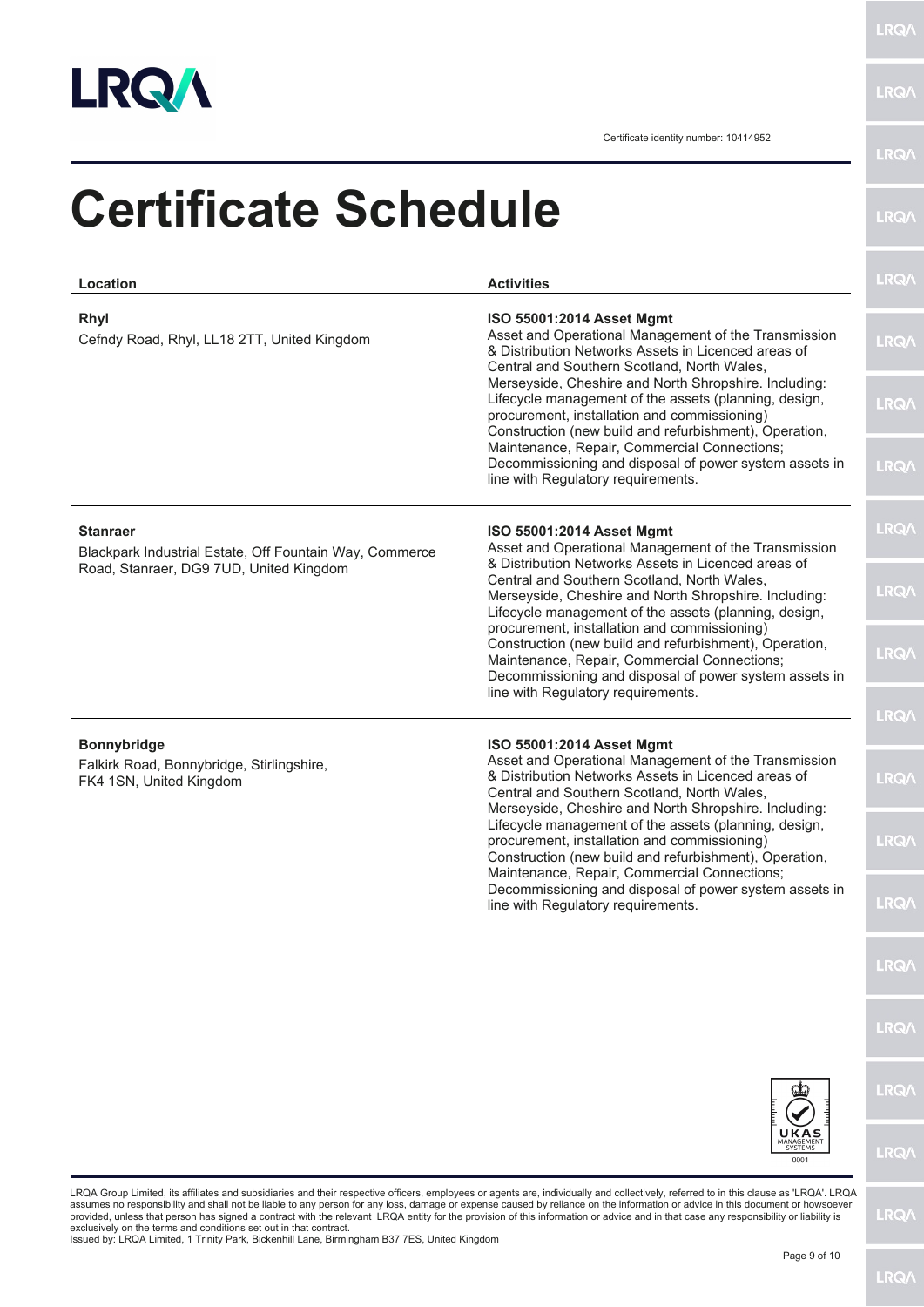

**LRQA** 

| Location                                                                                                              | <b>Activities</b>                                                                                                                                                                                                                                | <b>LRQA</b>  |
|-----------------------------------------------------------------------------------------------------------------------|--------------------------------------------------------------------------------------------------------------------------------------------------------------------------------------------------------------------------------------------------|--------------|
| Rhyl<br>Cefndy Road, Rhyl, LL18 2TT, United Kingdom                                                                   | ISO 55001:2014 Asset Mgmt<br>Asset and Operational Management of the Transmission<br>& Distribution Networks Assets in Licenced areas of<br>Central and Southern Scotland, North Wales,                                                          | <b>LRQA</b>  |
|                                                                                                                       | Merseyside, Cheshire and North Shropshire. Including:<br>Lifecycle management of the assets (planning, design,<br>procurement, installation and commissioning)<br>Construction (new build and refurbishment), Operation,                         | <b>LRQA</b>  |
|                                                                                                                       | Maintenance, Repair, Commercial Connections;<br>Decommissioning and disposal of power system assets in<br>line with Regulatory requirements.                                                                                                     | <b>LRQ/\</b> |
| <b>Stanraer</b><br>Blackpark Industrial Estate, Off Fountain Way, Commerce<br>Road, Stanraer, DG9 7UD, United Kingdom | ISO 55001:2014 Asset Mgmt<br>Asset and Operational Management of the Transmission<br>& Distribution Networks Assets in Licenced areas of                                                                                                         | <b>LRQA</b>  |
|                                                                                                                       | Central and Southern Scotland, North Wales,<br>Merseyside, Cheshire and North Shropshire. Including:<br>Lifecycle management of the assets (planning, design,<br>procurement, installation and commissioning)                                    | <b>LRQA</b>  |
|                                                                                                                       | Construction (new build and refurbishment), Operation,<br>Maintenance, Repair, Commercial Connections;<br>Decommissioning and disposal of power system assets in<br>line with Regulatory requirements.                                           | <b>LRQA</b>  |
|                                                                                                                       |                                                                                                                                                                                                                                                  | <b>LRQA</b>  |
| <b>Bonnybridge</b><br>Falkirk Road, Bonnybridge, Stirlingshire,<br>FK4 1SN, United Kingdom                            | ISO 55001:2014 Asset Mgmt<br>Asset and Operational Management of the Transmission<br>& Distribution Networks Assets in Licenced areas of<br>Central and Southern Scotland, North Wales,<br>Merseyside, Cheshire and North Shropshire. Including: | <b>LRQA</b>  |
|                                                                                                                       | Lifecycle management of the assets (planning, design,<br>procurement, installation and commissioning)<br>Construction (new build and refurbishment), Operation,<br>Maintenance, Repair, Commercial Connections;                                  | <b>LRQ/</b>  |
|                                                                                                                       | Decommissioning and disposal of power system assets in<br>line with Regulatory requirements.                                                                                                                                                     | <b>LRQA</b>  |
|                                                                                                                       |                                                                                                                                                                                                                                                  | <b>LRQ/</b>  |
|                                                                                                                       |                                                                                                                                                                                                                                                  | <b>LRQ/</b>  |
|                                                                                                                       |                                                                                                                                                                                                                                                  | <b>LRQ/</b>  |
|                                                                                                                       | UKAS<br>SYSTEMS<br>0001                                                                                                                                                                                                                          | <b>LRQ/</b>  |